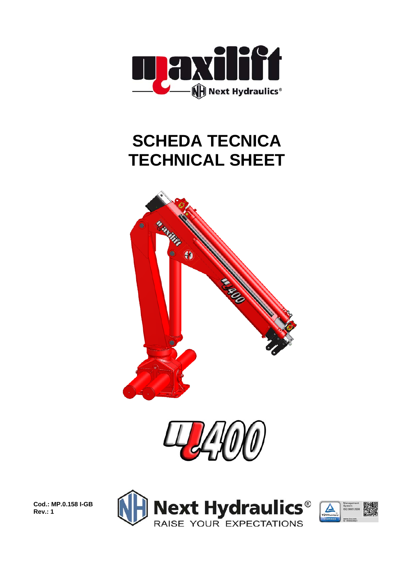

## **SCHEDA TECNICA TECHNICAL SHEET**





**Cod.: MP.0.158 I-GB Rev.: 1** 



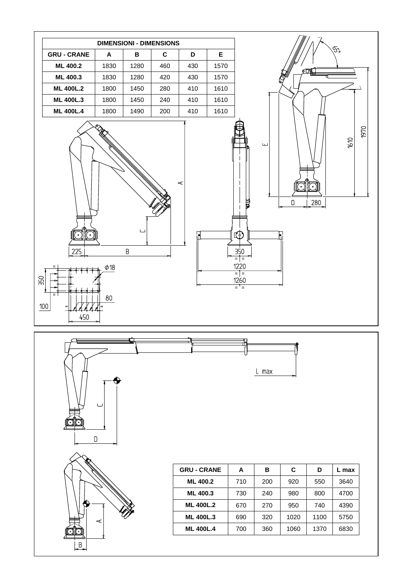





| <b>GRU-CRANE</b> | A   | в   | C    | D           | L max |
|------------------|-----|-----|------|-------------|-------|
| <b>ML 400.2</b>  | 710 | 200 | 920  | 550         | 3640  |
| ML 400.3         | 730 | 240 | 980  | 800         | 4700  |
| <b>ML 400L.2</b> | 670 | 270 | 950  | 740<br>4390 |       |
| <b>ML 400L.3</b> | 690 | 320 | 1020 | 1100        | 5750  |
| <b>ML 400L.4</b> | 700 | 360 | 1060 | 1370        | 6830  |

L max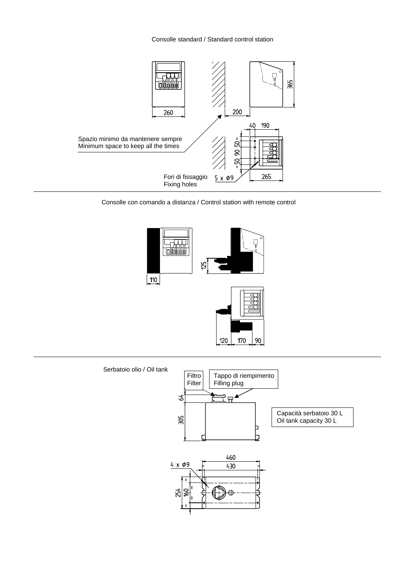

Consolle con comando a distanza / Control station with remote control



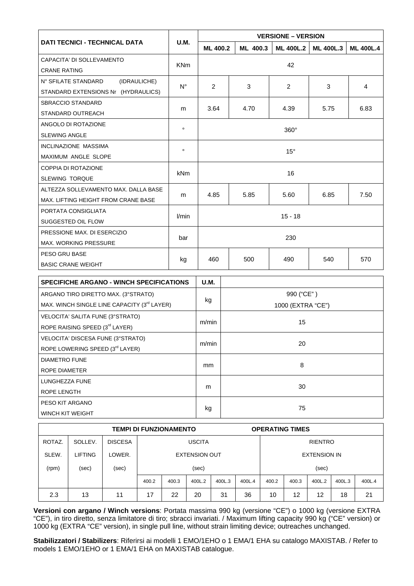|                                                                                                | <b>VERSIONE - VERSION</b>                                                                             |                                  |                                |                                                       |                                                |  |  |  |
|------------------------------------------------------------------------------------------------|-------------------------------------------------------------------------------------------------------|----------------------------------|--------------------------------|-------------------------------------------------------|------------------------------------------------|--|--|--|
|                                                                                                |                                                                                                       | ML 400.3                         | <b>ML 400L.2</b>               | <b>ML 400L.3</b>                                      | <b>ML 400L.4</b>                               |  |  |  |
|                                                                                                |                                                                                                       |                                  |                                |                                                       |                                                |  |  |  |
|                                                                                                |                                                                                                       |                                  |                                |                                                       |                                                |  |  |  |
|                                                                                                | 2                                                                                                     | 3                                | 2                              | 3                                                     | $\overline{4}$                                 |  |  |  |
|                                                                                                |                                                                                                       |                                  |                                |                                                       |                                                |  |  |  |
|                                                                                                | 3.64                                                                                                  | 4.70                             | 4.39                           | 5.75                                                  | 6.83                                           |  |  |  |
|                                                                                                |                                                                                                       |                                  |                                |                                                       |                                                |  |  |  |
|                                                                                                | $360^\circ$                                                                                           |                                  |                                |                                                       |                                                |  |  |  |
|                                                                                                |                                                                                                       |                                  |                                |                                                       |                                                |  |  |  |
|                                                                                                |                                                                                                       |                                  |                                |                                                       |                                                |  |  |  |
|                                                                                                |                                                                                                       |                                  |                                |                                                       |                                                |  |  |  |
|                                                                                                | 16                                                                                                    |                                  |                                |                                                       |                                                |  |  |  |
|                                                                                                |                                                                                                       |                                  |                                |                                                       |                                                |  |  |  |
|                                                                                                |                                                                                                       |                                  |                                |                                                       | 7.50                                           |  |  |  |
|                                                                                                |                                                                                                       |                                  |                                |                                                       |                                                |  |  |  |
| PORTATA CONSIGLIATA                                                                            |                                                                                                       |                                  |                                |                                                       |                                                |  |  |  |
|                                                                                                |                                                                                                       |                                  |                                |                                                       |                                                |  |  |  |
|                                                                                                |                                                                                                       |                                  |                                |                                                       |                                                |  |  |  |
|                                                                                                |                                                                                                       |                                  |                                |                                                       |                                                |  |  |  |
|                                                                                                |                                                                                                       |                                  |                                |                                                       | 570                                            |  |  |  |
|                                                                                                |                                                                                                       |                                  |                                |                                                       |                                                |  |  |  |
| <b>SPECIFICHE ARGANO - WINCH SPECIFICATIONS</b>                                                |                                                                                                       |                                  |                                |                                                       |                                                |  |  |  |
|                                                                                                |                                                                                                       |                                  |                                |                                                       |                                                |  |  |  |
| ARGANO TIRO DIRETTO MAX. (3°STRATO)<br>MAX. WINCH SINGLE LINE CAPACITY (3 <sup>rd</sup> LAYER) |                                                                                                       |                                  |                                |                                                       |                                                |  |  |  |
|                                                                                                |                                                                                                       |                                  |                                |                                                       |                                                |  |  |  |
|                                                                                                | m/min                                                                                                 | 15                               |                                |                                                       |                                                |  |  |  |
|                                                                                                | U.M.<br><b>KNm</b><br>$N^{\circ}$<br>m<br>$\circ$<br>$\circ$<br><b>kNm</b><br>m<br>l/min<br>bar<br>kg | 4.85<br>460<br><b>U.M.</b><br>kg | <b>ML 400.2</b><br>5.85<br>500 | 42<br>$15^{\circ}$<br>5.60<br>$15 - 18$<br>230<br>490 | 6.85<br>540<br>990 ("CE")<br>1000 (EXTRA "CE") |  |  |  |

| KUPE RAISING SPEED (3 LAYER)      |       |    |
|-----------------------------------|-------|----|
| VELOCITA' DISCESA FUNE (3°STRATO) |       |    |
| ROPE LOWERING SPEED (3rd LAYER)   | m/min | 20 |
| <b>DIAMETRO FUNE</b>              |       |    |
| ROPE DIAMETER                     | mm    | 8  |
| LUNGHEZZA FUNE                    |       |    |
| ROPE LENGTH                       | m     | 30 |
| PESO KIT ARGANO                   |       |    |
| WINCH KIT WEIGHT                  | kg    | 75 |

| <b>TEMPI DI FUNZIONAMENTO</b> |         |                |                      |       |        |        |        | <b>OPERATING TIMES</b> |                     |        |        |        |
|-------------------------------|---------|----------------|----------------------|-------|--------|--------|--------|------------------------|---------------------|--------|--------|--------|
| ROTAZ.                        | SOLLEV. | <b>DISCESA</b> | <b>USCITA</b>        |       |        |        |        | <b>RIENTRO</b>         |                     |        |        |        |
| SLEW.                         | LIFTING | LOWER.         | <b>EXTENSION OUT</b> |       |        |        |        |                        | <b>EXTENSION IN</b> |        |        |        |
| (rpm)                         | (sec)   | (sec)          | (sec)                |       |        |        |        |                        | (sec)               |        |        |        |
|                               |         |                | 400.2                | 400.3 | 400L.2 | 400L.3 | 400L.4 | 400.2                  | 400.3               | 400L.2 | 400L.3 | 400L.4 |
| 2.3                           | 13      | 11             | 17                   | 22    | 20     | 31     | 36     | 10                     | 12                  | 12     | 18     | 21     |

**Versioni con argano / Winch versions**: Portata massima 990 kg (versione "CE") o 1000 kg (versione EXTRA "CE"), in tiro diretto, senza limitatore di tiro; sbracci invariati. / Maximum lifting capacity 990 kg ("CE" version) or 1000 kg (EXTRA "CE" version), in single pull line, without strain limiting device; outreaches unchanged.

**Stabilizzatori / Stabilizers**: Riferirsi ai modelli 1 EMO/1EHO o 1 EMA/1 EHA su catalogo MAXISTAB. / Refer to models 1 EMO/1EHO or 1 EMA/1 EHA on MAXISTAB catalogue.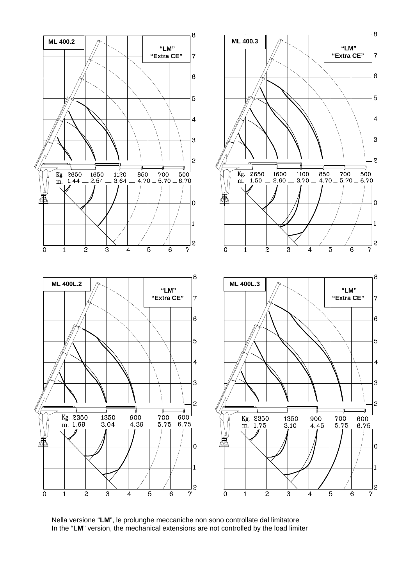

Nella versione "**LM**", le prolunghe meccaniche non sono controllate dal limitatore In the "**LM**" version, the mechanical extensions are not controlled by the load limiter